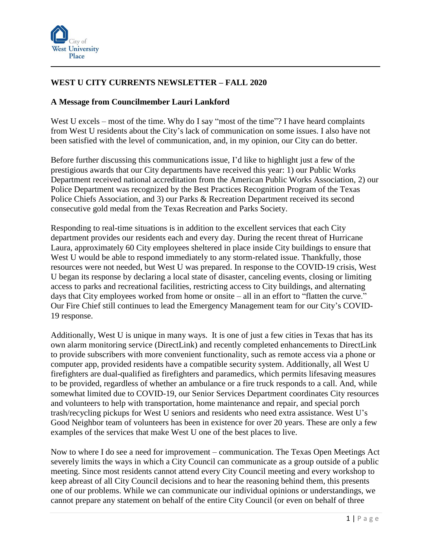

## **WEST U CITY CURRENTS NEWSLETTER – FALL 2020**

## **A Message from Councilmember Lauri Lankford**

West U excels – most of the time. Why do I say "most of the time"? I have heard complaints from West U residents about the City's lack of communication on some issues. I also have not been satisfied with the level of communication, and, in my opinion, our City can do better.

Before further discussing this communications issue, I'd like to highlight just a few of the prestigious awards that our City departments have received this year: 1) our Public Works Department received national accreditation from the American Public Works Association, 2) our Police Department was recognized by the Best Practices Recognition Program of the Texas Police Chiefs Association, and 3) our Parks & Recreation Department received its second consecutive gold medal from the Texas Recreation and Parks Society.

Responding to real-time situations is in addition to the excellent services that each City department provides our residents each and every day. During the recent threat of Hurricane Laura, approximately 60 City employees sheltered in place inside City buildings to ensure that West U would be able to respond immediately to any storm-related issue. Thankfully, those resources were not needed, but West U was prepared. In response to the COVID-19 crisis, West U began its response by declaring a local state of disaster, canceling events, closing or limiting access to parks and recreational facilities, restricting access to City buildings, and alternating days that City employees worked from home or onsite – all in an effort to "flatten the curve." Our Fire Chief still continues to lead the Emergency Management team for our City's COVID-19 response.

Additionally, West U is unique in many ways. It is one of just a few cities in Texas that has its own alarm monitoring service (DirectLink) and recently completed enhancements to DirectLink to provide subscribers with more convenient functionality, such as remote access via a phone or computer app, provided residents have a compatible security system. Additionally, all West U firefighters are dual-qualified as firefighters and paramedics, which permits lifesaving measures to be provided, regardless of whether an ambulance or a fire truck responds to a call. And, while somewhat limited due to COVID-19, our Senior Services Department coordinates City resources and volunteers to help with transportation, home maintenance and repair, and special porch trash/recycling pickups for West U seniors and residents who need extra assistance. West U's Good Neighbor team of volunteers has been in existence for over 20 years. These are only a few examples of the services that make West U one of the best places to live.

Now to where I do see a need for improvement – communication. The Texas Open Meetings Act severely limits the ways in which a City Council can communicate as a group outside of a public meeting. Since most residents cannot attend every City Council meeting and every workshop to keep abreast of all City Council decisions and to hear the reasoning behind them, this presents one of our problems. While we can communicate our individual opinions or understandings, we cannot prepare any statement on behalf of the entire City Council (or even on behalf of three